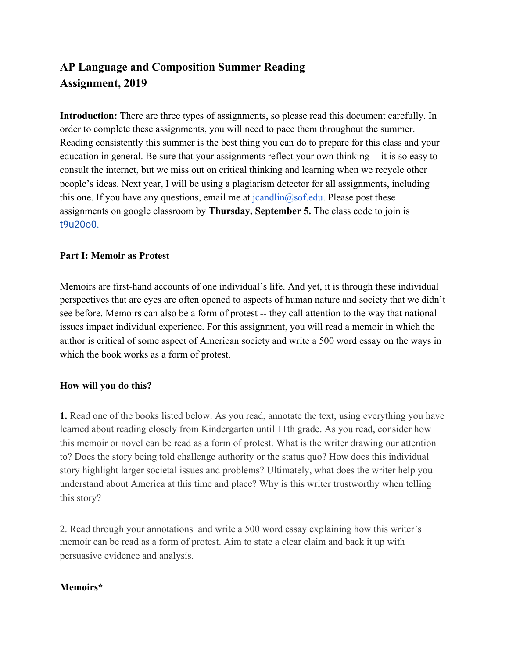# **AP Language and Composition Summer Reading Assignment, 2019**

Introduction: There are three types of assignments, so please read this document carefully. In order to complete these assignments, you will need to pace them throughout the summer. Reading consistently this summer is the best thing you can do to prepare for this class and your education in general. Be sure that your assignments reflect your own thinking -- it is so easy to consult the internet, but we miss out on critical thinking and learning when we recycle other people's ideas. Next year, I will be using a plagiarism detector for all assignments, including this one. If you have any questions, email me at  $icandlin(@)$  examples and these assignments on google classroom by **Thursday, September 5.** The class code to join is t9u20o0.

### **Part I: Memoir as Protest**

Memoirs are first-hand accounts of one individual's life. And yet, it is through these individual perspectives that are eyes are often opened to aspects of human nature and society that we didn't see before. Memoirs can also be a form of protest -- they call attention to the way that national issues impact individual experience. For this assignment, you will read a memoir in which the author is critical of some aspect of American society and write a 500 word essay on the ways in which the book works as a form of protest.

### **How will you do this?**

**1.** Read one of the books listed below. As you read, annotate the text, using everything you have learned about reading closely from Kindergarten until 11th grade. As you read, consider how this memoir or novel can be read as a form of protest. What is the writer drawing our attention to? Does the story being told challenge authority or the status quo? How does this individual story highlight larger societal issues and problems? Ultimately, what does the writer help you understand about America at this time and place? Why is this writer trustworthy when telling this story?

2. Read through your annotations and write a 500 word essay explaining how this writer's memoir can be read as a form of protest. Aim to state a clear claim and back it up with persuasive evidence and analysis.

## **Memoirs\***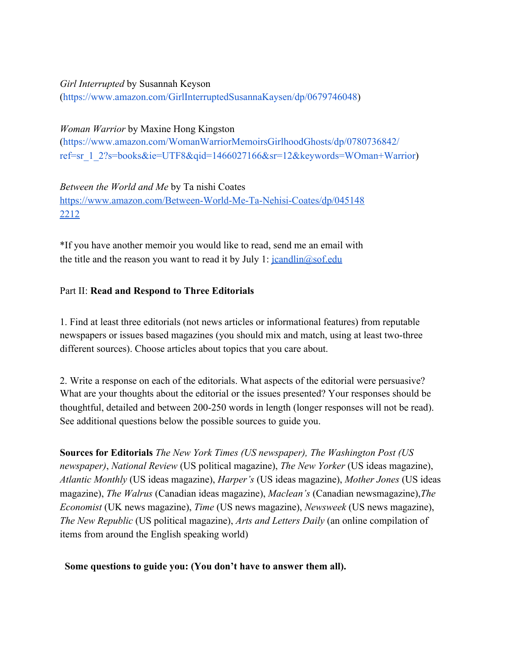# *Girl Interrupted* by Susannah Keyson

(https://www.amazon.com/GirlInterruptedSusannaKaysen/dp/0679746048)

### *Woman Warrior* by Maxine Hong Kingston

(https://www.amazon.com/WomanWarriorMemoirsGirlhoodGhosts/dp/0780736842/ ref=sr\_1\_2?s=books&ie=UTF8&qid=1466027166&sr=12&keywords=WOman+Warrior)

*Between the World and Me* by Ta nishi Coates [https://www.amazon.com/Between-World-Me-Ta-Nehisi-Coates/dp/045148](https://www.amazon.com/Between-World-Me-Ta-Nehisi-Coates/dp/0451482212) [2212](https://www.amazon.com/Between-World-Me-Ta-Nehisi-Coates/dp/0451482212)

\*If you have another memoir you would like to read, send me an email with the title and the reason you want to read it by July 1:  $\frac{\text{icandlin}(\partial s \text{ of.} \text{edu})}{\text{icandlin}(\partial s \text{ of.} \text{edu})}$ 

### Part II: **Read and Respond to Three Editorials**

1. Find at least three editorials (not news articles or informational features) from reputable newspapers or issues based magazines (you should mix and match, using at least two-three different sources). Choose articles about topics that you care about.

2. Write a response on each of the editorials. What aspects of the editorial were persuasive? What are your thoughts about the editorial or the issues presented? Your responses should be thoughtful, detailed and between 200-250 words in length (longer responses will not be read). See additional questions below the possible sources to guide you.

**Sources for Editorials** *The New York Times (US newspaper), The Washington Post (US newspaper)*, *National Review* (US political magazine), *The New Yorker* (US ideas magazine), *Atlantic Monthly* (US ideas magazine), *Harper's* (US ideas magazine), *Mother Jones* (US ideas magazine), *The Walrus* (Canadian ideas magazine), *Maclean's* (Canadian newsmagazine),*The Economist* (UK news magazine), *Time* (US news magazine), *Newsweek* (US news magazine), *The New Republic* (US political magazine), *Arts and Letters Daily* (an online compilation of items from around the English speaking world)

### **Some questions to guide you: (You don't have to answer them all).**